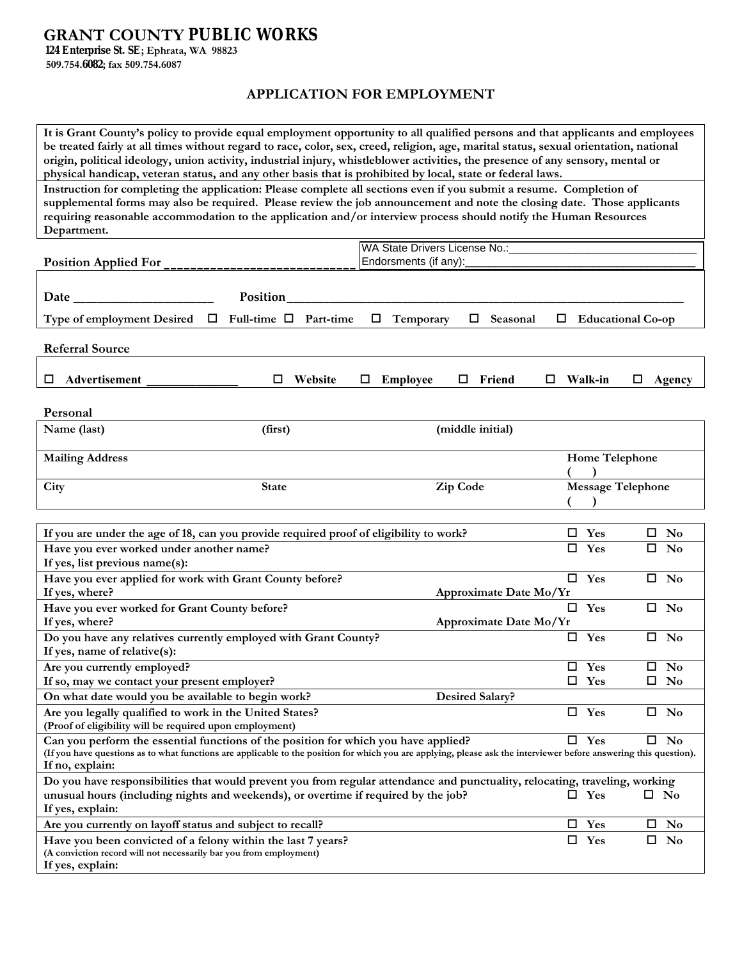# **GRANT COUNTY PUBLIC WORKS**

**124 Enterprise St. SE; Ephrata, WA 98823 509.754.6082; fax 509.754.6087** 

**If yes, explain:** 

## **APPLICATION FOR EMPLOYMENT**

**It is Grant County's policy to provide equal employment opportunity to all qualified persons and that applicants and employees be treated fairly at all times without regard to race, color, sex, creed, religion, age, marital status, sexual orientation, national origin, political ideology, union activity, industrial injury, whistleblower activities, the presence of any sensory, mental or physical handicap, veteran status, and any other basis that is prohibited by local, state or federal laws.**

**Instruction for completing the application: Please complete all sections even if you submit a resume. Completion of supplemental forms may also be required. Please review the job announcement and note the closing date. Those applicants requiring reasonable accommodation to the application and/or interview process should notify the Human Resources Department.** 

| <b>Position Applied For</b>                                                                                        |                                    | WA State Drivers License No.:<br>Endorsments (if any):                                                                                                             |                          |                          |
|--------------------------------------------------------------------------------------------------------------------|------------------------------------|--------------------------------------------------------------------------------------------------------------------------------------------------------------------|--------------------------|--------------------------|
|                                                                                                                    |                                    |                                                                                                                                                                    |                          |                          |
| Date                                                                                                               | Position                           |                                                                                                                                                                    |                          |                          |
| Type of employment Desired                                                                                         | Full-time $\Box$<br>□<br>Part-time | Temporary<br>Seasonal                                                                                                                                              | □                        | <b>Educational Co-op</b> |
| <b>Referral Source</b>                                                                                             |                                    |                                                                                                                                                                    |                          |                          |
| Advertisement<br>ш                                                                                                 | Website<br>□                       | Friend<br><b>Employee</b><br>$\Box$<br>ш                                                                                                                           | Walk-in<br>□             | □<br>Agency              |
|                                                                                                                    |                                    |                                                                                                                                                                    |                          |                          |
| Personal                                                                                                           |                                    |                                                                                                                                                                    |                          |                          |
| Name (last)                                                                                                        | (first)                            | (middle initial)                                                                                                                                                   |                          |                          |
| <b>Mailing Address</b>                                                                                             |                                    |                                                                                                                                                                    | Home Telephone           |                          |
| City                                                                                                               | <b>State</b>                       | Zip Code                                                                                                                                                           | <b>Message Telephone</b> |                          |
|                                                                                                                    |                                    |                                                                                                                                                                    |                          |                          |
| If you are under the age of 18, can you provide required proof of eligibility to work?                             |                                    |                                                                                                                                                                    | $\square$ Yes            | $\square$ No             |
| Have you ever worked under another name?                                                                           |                                    |                                                                                                                                                                    | $\Box$<br>Yes            | $\Box$<br><b>No</b>      |
| If yes, list previous name(s):                                                                                     |                                    |                                                                                                                                                                    |                          |                          |
| Have you ever applied for work with Grant County before?                                                           |                                    |                                                                                                                                                                    | $\overline{\Box}$ Yes    | $\square$ No             |
| If yes, where?                                                                                                     |                                    | Approximate Date Mo/Yr                                                                                                                                             |                          |                          |
| Have you ever worked for Grant County before?                                                                      |                                    |                                                                                                                                                                    | $\square$ Yes            | $\square$ No             |
| If yes, where?                                                                                                     |                                    | Approximate Date Mo/Yr                                                                                                                                             |                          |                          |
| Do you have any relatives currently employed with Grant County?                                                    |                                    |                                                                                                                                                                    | $\square$ Yes            | $\square$ No             |
| If yes, name of relative(s):                                                                                       |                                    |                                                                                                                                                                    |                          |                          |
| Are you currently employed?                                                                                        |                                    |                                                                                                                                                                    | $\square$ Yes            | $\square$ No             |
| If so, may we contact your present employer?                                                                       |                                    |                                                                                                                                                                    | $\square$ Yes            | $\square$ No             |
| On what date would you be available to begin work?                                                                 |                                    | <b>Desired Salary?</b>                                                                                                                                             |                          |                          |
| Are you legally qualified to work in the United States?<br>(Proof of eligibility will be required upon employment) |                                    |                                                                                                                                                                    | $\square$ Yes            | $\square$ No             |
| Can you perform the essential functions of the position for which you have applied?                                |                                    |                                                                                                                                                                    | $\square$ Yes            | $\square$ No             |
| If no, explain:                                                                                                    |                                    | (If you have questions as to what functions are applicable to the position for which you are applying, please ask the interviewer before answering this question). |                          |                          |
|                                                                                                                    |                                    | Do you have responsibilities that would prevent you from regular attendance and punctuality, relocating, traveling, working                                        |                          |                          |
| unusual hours (including nights and weekends), or overtime if required by the job?<br>If yes, explain:             |                                    |                                                                                                                                                                    | $\square$ Yes            | $\square$ No             |
| Are you currently on layoff status and subject to recall?                                                          |                                    |                                                                                                                                                                    | Yes<br>ப                 | No<br>ш                  |
| Have you been convicted of a felony within the last 7 years?                                                       |                                    |                                                                                                                                                                    | $\square$ Yes            | $\square$ No             |
| (A conviction record will not necessarily bar you from employment)                                                 |                                    |                                                                                                                                                                    |                          |                          |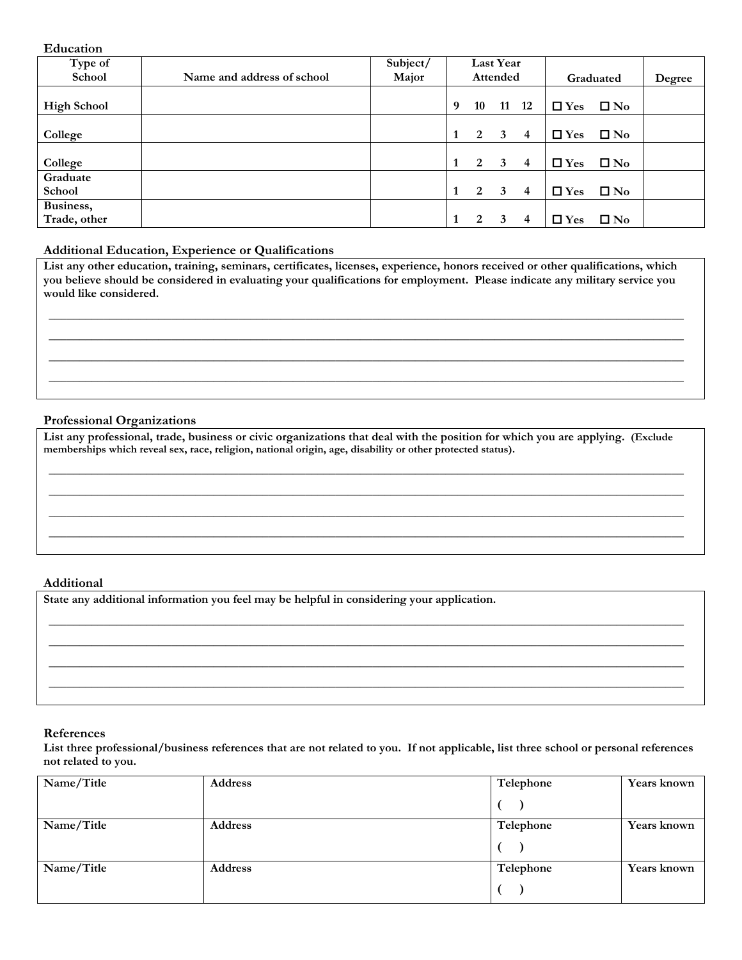#### **Education**

| Type of                   |                            | Subject/ |              |    | <b>Last Year</b> |                |               |              |        |
|---------------------------|----------------------------|----------|--------------|----|------------------|----------------|---------------|--------------|--------|
| School                    | Name and address of school | Major    |              |    | Attended         |                |               | Graduated    | Degree |
| <b>High School</b>        |                            |          | 9            | 10 | 11               | <b>12</b>      | $\Box$ Yes    | $\square$ No |        |
| College                   |                            |          | 1            | 2  | $\mathbf{3}$     | $\overline{4}$ | $\Box$ Yes    | $\square$ No |        |
| College                   |                            |          | 1            | 2  | 3                | 4              | $\square$ Yes | $\square$ No |        |
| Graduate<br>School        |                            |          | $\mathbf{1}$ | 2  | 3                | $\overline{4}$ | $\Box$ Yes    | $\square$ No |        |
| Business,<br>Trade, other |                            |          | -1           | 2  | 3                | 4              | $\Box$ Yes    | $\square$ No |        |

### **Additional Education, Experience or Qualifications**

**List any other education, training, seminars, certificates, licenses, experience, honors received or other qualifications, which you believe should be considered in evaluating your qualifications for employment. Please indicate any military service you would like considered.**

\_\_\_\_\_\_\_\_\_\_\_\_\_\_\_\_\_\_\_\_\_\_\_\_\_\_\_\_\_\_\_\_\_\_\_\_\_\_\_\_\_\_\_\_\_\_\_\_\_\_\_\_\_\_\_\_\_\_\_\_\_\_\_\_\_\_\_\_\_\_\_\_\_\_\_\_\_\_\_\_\_\_\_\_\_\_\_\_\_\_\_\_\_\_\_\_\_\_\_\_\_\_\_\_ \_\_\_\_\_\_\_\_\_\_\_\_\_\_\_\_\_\_\_\_\_\_\_\_\_\_\_\_\_\_\_\_\_\_\_\_\_\_\_\_\_\_\_\_\_\_\_\_\_\_\_\_\_\_\_\_\_\_\_\_\_\_\_\_\_\_\_\_\_\_\_\_\_\_\_\_\_\_\_\_\_\_\_\_\_\_\_\_\_\_\_\_\_\_\_\_\_\_\_\_\_\_\_\_ \_\_\_\_\_\_\_\_\_\_\_\_\_\_\_\_\_\_\_\_\_\_\_\_\_\_\_\_\_\_\_\_\_\_\_\_\_\_\_\_\_\_\_\_\_\_\_\_\_\_\_\_\_\_\_\_\_\_\_\_\_\_\_\_\_\_\_\_\_\_\_\_\_\_\_\_\_\_\_\_\_\_\_\_\_\_\_\_\_\_\_\_\_\_\_\_\_\_\_\_\_\_\_\_ \_\_\_\_\_\_\_\_\_\_\_\_\_\_\_\_\_\_\_\_\_\_\_\_\_\_\_\_\_\_\_\_\_\_\_\_\_\_\_\_\_\_\_\_\_\_\_\_\_\_\_\_\_\_\_\_\_\_\_\_\_\_\_\_\_\_\_\_\_\_\_\_\_\_\_\_\_\_\_\_\_\_\_\_\_\_\_\_\_\_\_\_\_\_\_\_\_\_\_\_\_\_\_\_

#### **Professional Organizations**

**List any professional, trade, business or civic organizations that deal with the position for which you are applying. (Exclude memberships which reveal sex, race, religion, national origin, age, disability or other protected status).** 

**\_\_\_\_\_\_\_\_\_\_\_\_\_\_\_\_\_\_\_\_\_\_\_\_\_\_\_\_\_\_\_\_\_\_\_\_\_\_\_\_\_\_\_\_\_\_\_\_\_\_\_\_\_\_\_\_\_\_\_\_\_\_\_\_\_\_\_\_\_\_\_\_\_\_\_\_\_\_\_\_\_\_\_\_\_\_\_\_\_\_\_\_\_\_\_\_\_\_\_\_\_\_\_\_ \_\_\_\_\_\_\_\_\_\_\_\_\_\_\_\_\_\_\_\_\_\_\_\_\_\_\_\_\_\_\_\_\_\_\_\_\_\_\_\_\_\_\_\_\_\_\_\_\_\_\_\_\_\_\_\_\_\_\_\_\_\_\_\_\_\_\_\_\_\_\_\_\_\_\_\_\_\_\_\_\_\_\_\_\_\_\_\_\_\_\_\_\_\_\_\_\_\_\_\_\_\_\_\_ \_\_\_\_\_\_\_\_\_\_\_\_\_\_\_\_\_\_\_\_\_\_\_\_\_\_\_\_\_\_\_\_\_\_\_\_\_\_\_\_\_\_\_\_\_\_\_\_\_\_\_\_\_\_\_\_\_\_\_\_\_\_\_\_\_\_\_\_\_\_\_\_\_\_\_\_\_\_\_\_\_\_\_\_\_\_\_\_\_\_\_\_\_\_\_\_\_\_\_\_\_\_\_\_ \_\_\_\_\_\_\_\_\_\_\_\_\_\_\_\_\_\_\_\_\_\_\_\_\_\_\_\_\_\_\_\_\_\_\_\_\_\_\_\_\_\_\_\_\_\_\_\_\_\_\_\_\_\_\_\_\_\_\_\_\_\_\_\_\_\_\_\_\_\_\_\_\_\_\_\_\_\_\_\_\_\_\_\_\_\_\_\_\_\_\_\_\_\_\_\_\_\_\_\_\_\_\_\_** 

#### **Additional**

**State any additional information you feel may be helpful in considering your application.** 

### **References**

**List three professional/business references that are not related to you. If not applicable, list three school or personal references not related to you.** 

**\_\_\_\_\_\_\_\_\_\_\_\_\_\_\_\_\_\_\_\_\_\_\_\_\_\_\_\_\_\_\_\_\_\_\_\_\_\_\_\_\_\_\_\_\_\_\_\_\_\_\_\_\_\_\_\_\_\_\_\_\_\_\_\_\_\_\_\_\_\_\_\_\_\_\_\_\_\_\_\_\_\_\_\_\_\_\_\_\_\_\_\_\_\_\_\_\_\_\_\_\_\_\_\_ \_\_\_\_\_\_\_\_\_\_\_\_\_\_\_\_\_\_\_\_\_\_\_\_\_\_\_\_\_\_\_\_\_\_\_\_\_\_\_\_\_\_\_\_\_\_\_\_\_\_\_\_\_\_\_\_\_\_\_\_\_\_\_\_\_\_\_\_\_\_\_\_\_\_\_\_\_\_\_\_\_\_\_\_\_\_\_\_\_\_\_\_\_\_\_\_\_\_\_\_\_\_\_\_ \_\_\_\_\_\_\_\_\_\_\_\_\_\_\_\_\_\_\_\_\_\_\_\_\_\_\_\_\_\_\_\_\_\_\_\_\_\_\_\_\_\_\_\_\_\_\_\_\_\_\_\_\_\_\_\_\_\_\_\_\_\_\_\_\_\_\_\_\_\_\_\_\_\_\_\_\_\_\_\_\_\_\_\_\_\_\_\_\_\_\_\_\_\_\_\_\_\_\_\_\_\_\_\_ \_\_\_\_\_\_\_\_\_\_\_\_\_\_\_\_\_\_\_\_\_\_\_\_\_\_\_\_\_\_\_\_\_\_\_\_\_\_\_\_\_\_\_\_\_\_\_\_\_\_\_\_\_\_\_\_\_\_\_\_\_\_\_\_\_\_\_\_\_\_\_\_\_\_\_\_\_\_\_\_\_\_\_\_\_\_\_\_\_\_\_\_\_\_\_\_\_\_\_\_\_\_\_\_** 

| Name/Title | Address | Telephone | <b>Years known</b> |
|------------|---------|-----------|--------------------|
|            |         |           |                    |
| Name/Title | Address | Telephone | <b>Years known</b> |
|            |         |           |                    |
| Name/Title | Address | Telephone | <b>Years known</b> |
|            |         |           |                    |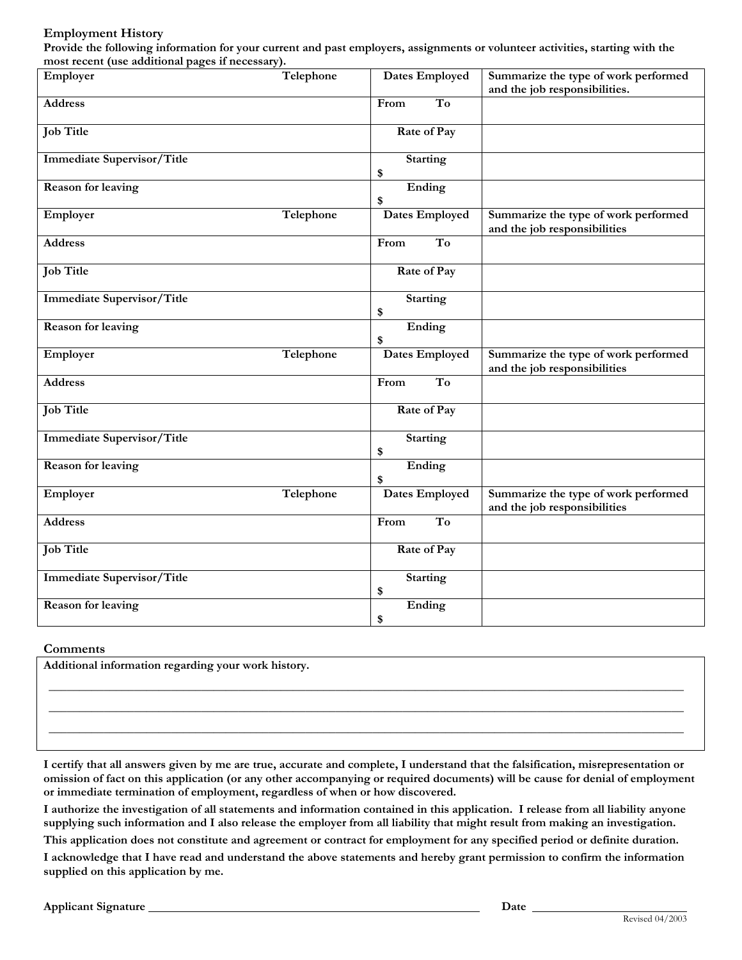### **Employment History**

**Provide the following information for your current and past employers, assignments or volunteer activities, starting with the most recent (use additional pages if necessary).** 

| $\frac{1}{1000}$ recent (use authority pages in necessary).<br>Employer | Telephone | Dates Employed                 | Summarize the type of work performed<br>and the job responsibilities. |
|-------------------------------------------------------------------------|-----------|--------------------------------|-----------------------------------------------------------------------|
| <b>Address</b>                                                          |           | $\overline{\text{To}}$<br>From |                                                                       |
| <b>Job Title</b>                                                        |           | Rate of Pay                    |                                                                       |
| <b>Immediate Supervisor/Title</b>                                       |           | <b>Starting</b><br>\$          |                                                                       |
| <b>Reason for leaving</b>                                               |           | Ending<br>\$                   |                                                                       |
| Employer                                                                | Telephone | Dates Employed                 | Summarize the type of work performed<br>and the job responsibilities  |
| <b>Address</b>                                                          |           | To<br>From                     |                                                                       |
| <b>Job Title</b>                                                        |           | Rate of Pay                    |                                                                       |
| <b>Immediate Supervisor/Title</b>                                       |           | <b>Starting</b><br>\$          |                                                                       |
| <b>Reason for leaving</b>                                               |           | Ending<br>\$                   |                                                                       |
| Employer                                                                | Telephone | Dates Employed                 | Summarize the type of work performed<br>and the job responsibilities  |
| <b>Address</b>                                                          |           | $\overline{\text{To}}$<br>From |                                                                       |
| <b>Job Title</b>                                                        |           | Rate of Pay                    |                                                                       |
| <b>Immediate Supervisor/Title</b>                                       |           | <b>Starting</b><br>\$          |                                                                       |
| <b>Reason for leaving</b>                                               |           | Ending<br>\$                   |                                                                       |
| Employer                                                                | Telephone | Dates Employed                 | Summarize the type of work performed<br>and the job responsibilities  |
| <b>Address</b>                                                          |           | T <sub>o</sub><br>From         |                                                                       |
| <b>Job Title</b>                                                        |           | Rate of Pay                    |                                                                       |
| <b>Immediate Supervisor/Title</b>                                       |           | <b>Starting</b><br>\$          |                                                                       |
| <b>Reason for leaving</b>                                               |           | Ending<br>\$                   |                                                                       |

#### **Comments**

**Additional information regarding your work history.** 

**I certify that all answers given by me are true, accurate and complete, I understand that the falsification, misrepresentation or omission of fact on this application (or any other accompanying or required documents) will be cause for denial of employment or immediate termination of employment, regardless of when or how discovered.** 

**\_\_\_\_\_\_\_\_\_\_\_\_\_\_\_\_\_\_\_\_\_\_\_\_\_\_\_\_\_\_\_\_\_\_\_\_\_\_\_\_\_\_\_\_\_\_\_\_\_\_\_\_\_\_\_\_\_\_\_\_\_\_\_\_\_\_\_\_\_\_\_\_\_\_\_\_\_\_\_\_\_\_\_\_\_\_\_\_\_\_\_\_\_\_\_\_\_\_\_\_\_\_\_\_ \_\_\_\_\_\_\_\_\_\_\_\_\_\_\_\_\_\_\_\_\_\_\_\_\_\_\_\_\_\_\_\_\_\_\_\_\_\_\_\_\_\_\_\_\_\_\_\_\_\_\_\_\_\_\_\_\_\_\_\_\_\_\_\_\_\_\_\_\_\_\_\_\_\_\_\_\_\_\_\_\_\_\_\_\_\_\_\_\_\_\_\_\_\_\_\_\_\_\_\_\_\_\_\_ \_\_\_\_\_\_\_\_\_\_\_\_\_\_\_\_\_\_\_\_\_\_\_\_\_\_\_\_\_\_\_\_\_\_\_\_\_\_\_\_\_\_\_\_\_\_\_\_\_\_\_\_\_\_\_\_\_\_\_\_\_\_\_\_\_\_\_\_\_\_\_\_\_\_\_\_\_\_\_\_\_\_\_\_\_\_\_\_\_\_\_\_\_\_\_\_\_\_\_\_\_\_\_\_** 

**I authorize the investigation of all statements and information contained in this application. I release from all liability anyone supplying such information and I also release the employer from all liability that might result from making an investigation.** 

**This application does not constitute and agreement or contract for employment for any specified period or definite duration.** 

**I acknowledge that I have read and understand the above statements and hereby grant permission to confirm the information supplied on this application by me.**